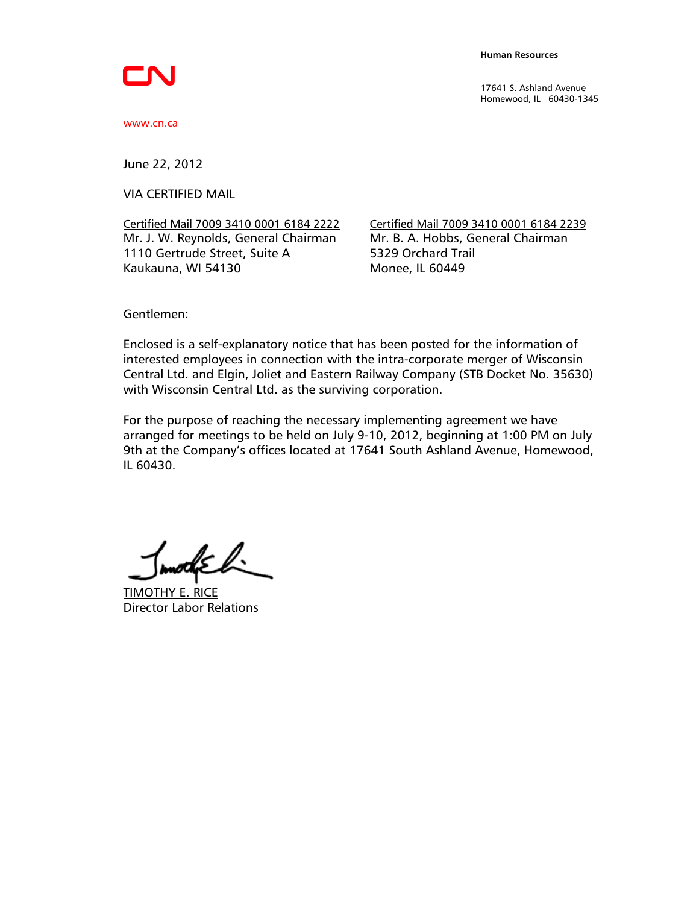17641 S. Ashland Avenue Homewood, IL 60430-1345

www.cn.ca

June 22, 2012

VIA CERTIFIED MAIL

Certified Mail 7009 3410 0001 6184 2222 Certified Mail 7009 3410 0001 6184 2239 Mr. J. W. Reynolds, General Chairman Mr. B. A. Hobbs, General Chairman 1110 Gertrude Street, Suite A 5329 Orchard Trail Kaukauna, WI 54130 Monee, IL 60449

Gentlemen:

Enclosed is a self-explanatory notice that has been posted for the information of interested employees in connection with the intra-corporate merger of Wisconsin Central Ltd. and Elgin, Joliet and Eastern Railway Company (STB Docket No. 35630) with Wisconsin Central Ltd. as the surviving corporation.

For the purpose of reaching the necessary implementing agreement we have arranged for meetings to be held on July 9-10, 2012, beginning at 1:00 PM on July 9th at the Company's offices located at 17641 South Ashland Avenue, Homewood, IL 60430.

when  $\mathbb{R}$ 

TIMOTHY E. RICE Director Labor Relations